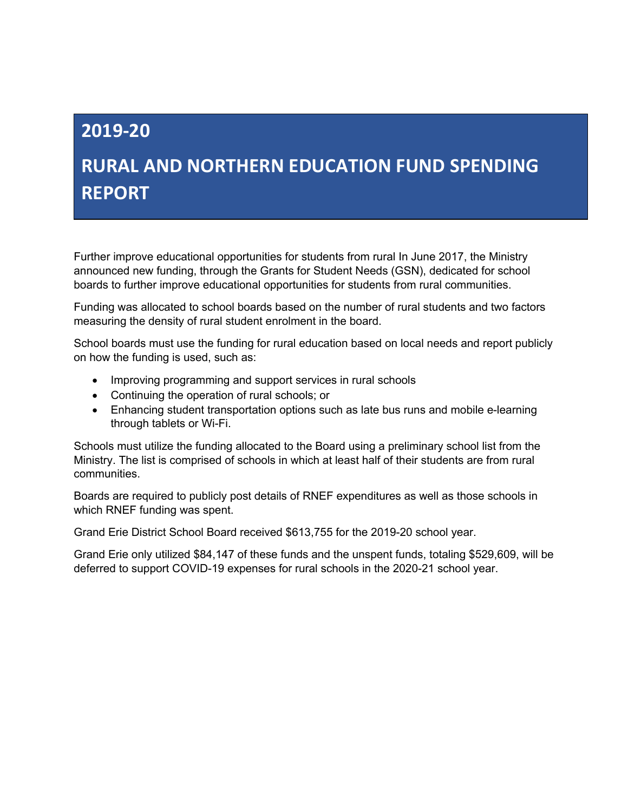## **2019-20**

# **RURAL AND NORTHERN EDUCATION FUND SPENDING REPORT**

Further improve educational opportunities for students from rural In June 2017, the Ministry announced new funding, through the Grants for Student Needs (GSN), dedicated for school boards to further improve educational opportunities for students from rural communities.

Funding was allocated to school boards based on the number of rural students and two factors measuring the density of rural student enrolment in the board.

School boards must use the funding for rural education based on local needs and report publicly on how the funding is used, such as:

- Improving programming and support services in rural schools
- Continuing the operation of rural schools; or
- Enhancing student transportation options such as late bus runs and mobile e-learning through tablets or Wi-Fi.

Schools must utilize the funding allocated to the Board using a preliminary school list from the Ministry. The list is comprised of schools in which at least half of their students are from rural communities.

Boards are required to publicly post details of RNEF expenditures as well as those schools in which RNEF funding was spent.

Grand Erie District School Board received \$613,755 for the 2019-20 school year.

Grand Erie only utilized \$84,147 of these funds and the unspent funds, totaling \$529,609, will be deferred to support COVID-19 expenses for rural schools in the 2020-21 school year.